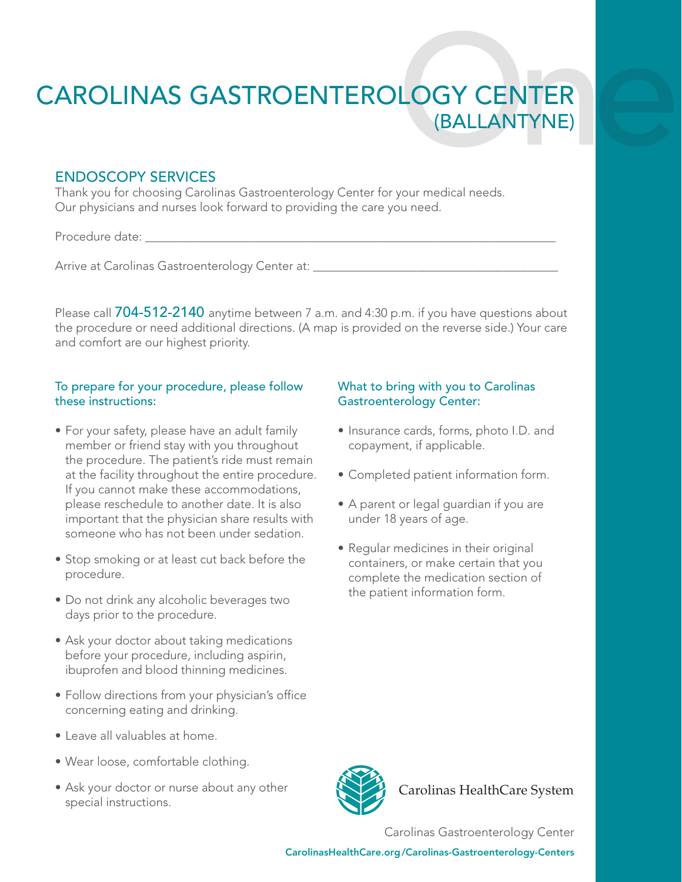# CAROLINAS GASTROENTEROLOGY CENTER

# ENDOSCOPY SERVICES

Thank you for choosing Carolinas Gastroenterology Center for your medical needs. Our physicians and nurses look forward to providing the care you need.

Procedure date:

Arrive at Carolinas Gastroenterology Center at:

Please call 704-512-2140 anytime between 7 a.m. and 4:30 p.m. if you have questions about the procedure or need additional directions. (A map is provided on the reverse side.) Your care and comfort are our highest priority.

### To prepare for your procedure, please follow these instructions:

- For your safety, please have an adult family member or friend stay with you throughout the procedure. The patient's ride must remain at the facility throughout the entire procedure. If you cannot make these accommodations, please reschedule to another date. It is also important that the physician share results with someone who has not been under sedation.
- Stop smoking or at least cut back before the procedure.
- Do not drink any alcoholic beverages two days prior to the procedure.
- Ask your doctor about taking medications before your procedure, including aspirin, ibuprofen and blood thinning medicines.
- Follow directions from your physician's office concerning eating and drinking.
- Leave all valuables at home.
- Wear loose, comfortable clothing.
- Ask your doctor or nurse about any other special instructions.

## What to bring with you to Carolinas Gastroenterology Center:

- Insurance cards, forms, photo I.D. and copayment, if applicable.
- Completed patient information form.
- A parent or legal guardian if you are under 18 years of age.
- Regular medicines in their original containers, or make certain that you complete the medication section of the patient information form.



Carolinas HealthCare System

Carolinas Gastroenterology Center

CarolinasHealthCare.org/Carolinas-Gastroenterology-Centers